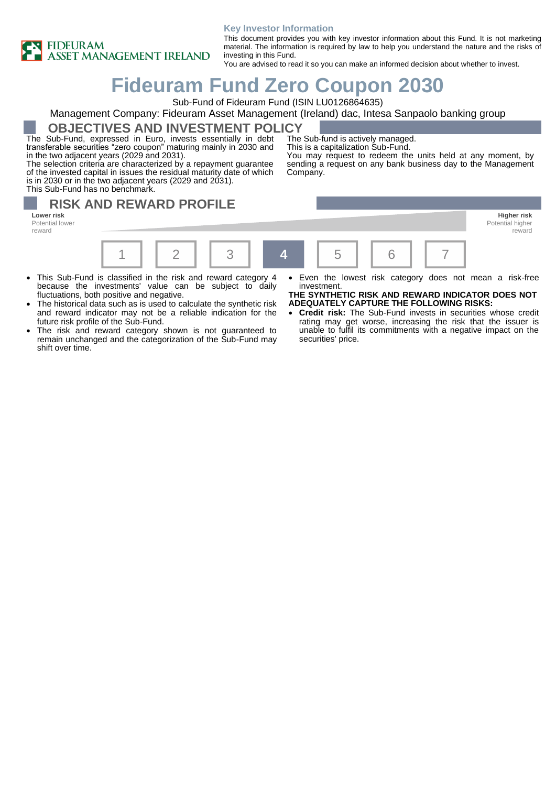

#### **Key Investor Information**

This document provides you with key investor information about this Fund. It is not marketing material. The information is required by law to help you understand the nature and the risks of investing in this Fund.

You are advised to read it so you can make an informed decision about whether to invest.

# **Fideuram Fund Zero Coupon 2030**

Sub-Fund of Fideuram Fund (ISIN LU0126864635)

### Management Company: Fideuram Asset Management (Ireland) dac, Intesa Sanpaolo banking group

**OBJECTIVES AND INVESTMENT POLICY**

The Sub-Fund, expressed in Euro, invests essentially in debt transferable securities "zero coupon" maturing mainly in 2030 and in the two adjacent years (2029 and 2031).

The selection criteria are characterized by a repayment guarantee of the invested capital in issues the residual maturity date of which is in 2030 or in the two adjacent years (2029 and 2031). This Sub-Fund has no benchmark.

The Sub-fund is actively managed.

This is a capitalization Sub-Fund.

You may request to redeem the units held at any moment, by sending a request on any bank business day to the Management Company.

### **RISK AND REWARD PROFILE Lower risk Higher risk**

Potential lower reward



- This Sub-Fund is classified in the risk and reward category 4 because the investments' value can be subject to daily fluctuations, both positive and negative.
- The historical data such as is used to calculate the synthetic risk and reward indicator may not be a reliable indication for the future risk profile of the Sub-Fund.
- The risk and reward category shown is not guaranteed to remain unchanged and the categorization of the Sub-Fund may shift over time.
- Even the lowest risk category does not mean a risk-free investment.

reward

**THE SYNTHETIC RISK AND REWARD INDICATOR DOES NOT ADEQUATELY CAPTURE THE FOLLOWING RISKS:**

• **Credit risk:** The Sub-Fund invests in securities whose credit rating may get worse, increasing the risk that the issuer is unable to fulfil its commitments with a negative impact on the securities' price.